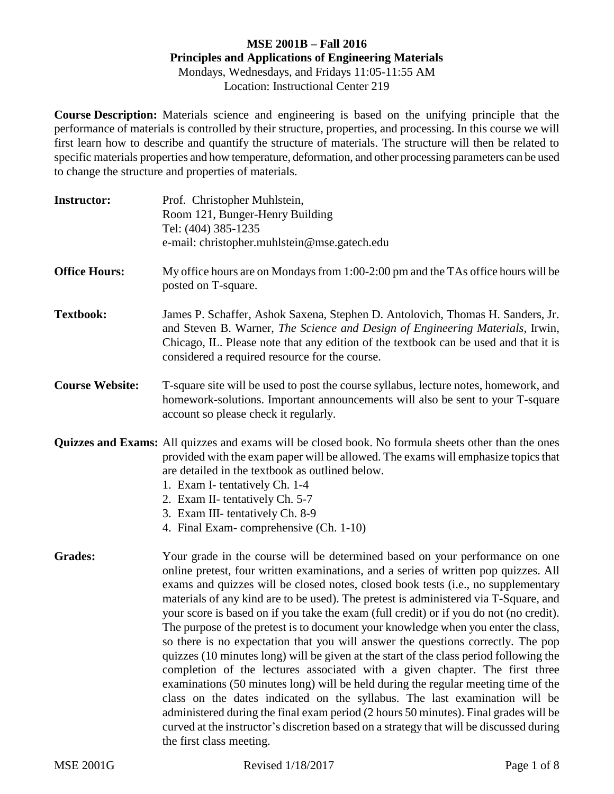## **MSE 2001B – Fall 2016 Principles and Applications of Engineering Materials** Mondays, Wednesdays, and Fridays 11:05-11:55 AM Location: Instructional Center 219

**Course Description:** Materials science and engineering is based on the unifying principle that the performance of materials is controlled by their structure, properties, and processing. In this course we will first learn how to describe and quantify the structure of materials. The structure will then be related to specific materials properties and how temperature, deformation, and other processing parameters can be used to change the structure and properties of materials.

| <b>Instructor:</b>     | Prof. Christopher Muhlstein,<br>Room 121, Bunger-Henry Building<br>Tel: (404) 385-1235<br>e-mail: christopher.muhlstein@mse.gatech.edu                                                                                                                                                                                                                                                                                                                                                                                                                                                                                                                                                                                                                                                                                                                                                                                                                                                                                                                                                                                                                                            |
|------------------------|-----------------------------------------------------------------------------------------------------------------------------------------------------------------------------------------------------------------------------------------------------------------------------------------------------------------------------------------------------------------------------------------------------------------------------------------------------------------------------------------------------------------------------------------------------------------------------------------------------------------------------------------------------------------------------------------------------------------------------------------------------------------------------------------------------------------------------------------------------------------------------------------------------------------------------------------------------------------------------------------------------------------------------------------------------------------------------------------------------------------------------------------------------------------------------------|
| <b>Office Hours:</b>   | My office hours are on Mondays from 1:00-2:00 pm and the TAs office hours will be<br>posted on T-square.                                                                                                                                                                                                                                                                                                                                                                                                                                                                                                                                                                                                                                                                                                                                                                                                                                                                                                                                                                                                                                                                          |
| <b>Textbook:</b>       | James P. Schaffer, Ashok Saxena, Stephen D. Antolovich, Thomas H. Sanders, Jr.<br>and Steven B. Warner, The Science and Design of Engineering Materials, Irwin,<br>Chicago, IL. Please note that any edition of the textbook can be used and that it is<br>considered a required resource for the course.                                                                                                                                                                                                                                                                                                                                                                                                                                                                                                                                                                                                                                                                                                                                                                                                                                                                         |
| <b>Course Website:</b> | T-square site will be used to post the course syllabus, lecture notes, homework, and<br>homework-solutions. Important announcements will also be sent to your T-square<br>account so please check it regularly.                                                                                                                                                                                                                                                                                                                                                                                                                                                                                                                                                                                                                                                                                                                                                                                                                                                                                                                                                                   |
|                        | <b>Quizzes and Exams:</b> All quizzes and exams will be closed book. No formula sheets other than the ones<br>provided with the exam paper will be allowed. The exams will emphasize topics that<br>are detailed in the textbook as outlined below.<br>1. Exam I- tentatively Ch. 1-4<br>2. Exam II- tentatively Ch. 5-7<br>3. Exam III-tentatively Ch. 8-9<br>4. Final Exam-comprehensive (Ch. 1-10)                                                                                                                                                                                                                                                                                                                                                                                                                                                                                                                                                                                                                                                                                                                                                                             |
| <b>Grades:</b>         | Your grade in the course will be determined based on your performance on one<br>online pretest, four written examinations, and a series of written pop quizzes. All<br>exams and quizzes will be closed notes, closed book tests (i.e., no supplementary<br>materials of any kind are to be used). The pretest is administered via T-Square, and<br>your score is based on if you take the exam (full credit) or if you do not (no credit).<br>The purpose of the pretest is to document your knowledge when you enter the class,<br>so there is no expectation that you will answer the questions correctly. The pop<br>quizzes (10 minutes long) will be given at the start of the class period following the<br>completion of the lectures associated with a given chapter. The first three<br>examinations (50 minutes long) will be held during the regular meeting time of the<br>class on the dates indicated on the syllabus. The last examination will be<br>administered during the final exam period (2 hours 50 minutes). Final grades will be<br>curved at the instructor's discretion based on a strategy that will be discussed during<br>the first class meeting. |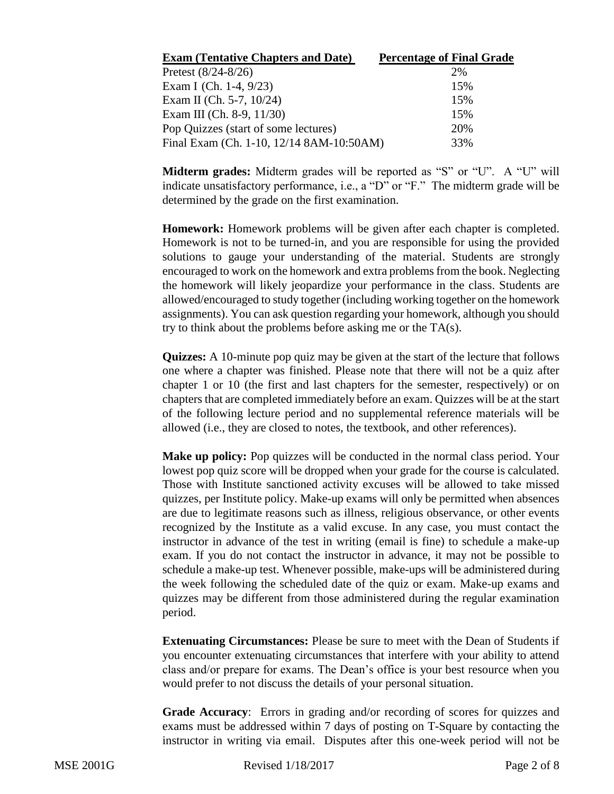| <b>Exam (Tentative Chapters and Date)</b> | <b>Percentage of Final Grade</b> |
|-------------------------------------------|----------------------------------|
| Pretest $(8/24 - 8/26)$                   | 2%                               |
| Exam I (Ch. 1-4, $9/23$ )                 | 15%                              |
| Exam II (Ch. 5-7, $10/24$ )               | 15%                              |
| Exam III (Ch. 8-9, $11/30$ )              | 15%                              |
| Pop Quizzes (start of some lectures)      | 20%                              |
| Final Exam (Ch. 1-10, 12/14 8AM-10:50AM)  | 33%                              |

**Midterm grades:** Midterm grades will be reported as "S" or "U". A "U" will indicate unsatisfactory performance, i.e., a "D" or "F." The midterm grade will be determined by the grade on the first examination.

**Homework:** Homework problems will be given after each chapter is completed. Homework is not to be turned-in, and you are responsible for using the provided solutions to gauge your understanding of the material. Students are strongly encouraged to work on the homework and extra problems from the book. Neglecting the homework will likely jeopardize your performance in the class. Students are allowed/encouraged to study together (including working together on the homework assignments). You can ask question regarding your homework, although you should try to think about the problems before asking me or the TA(s).

**Quizzes:** A 10-minute pop quiz may be given at the start of the lecture that follows one where a chapter was finished. Please note that there will not be a quiz after chapter 1 or 10 (the first and last chapters for the semester, respectively) or on chapters that are completed immediately before an exam. Quizzes will be at the start of the following lecture period and no supplemental reference materials will be allowed (i.e., they are closed to notes, the textbook, and other references).

**Make up policy:** Pop quizzes will be conducted in the normal class period. Your lowest pop quiz score will be dropped when your grade for the course is calculated. Those with Institute sanctioned activity excuses will be allowed to take missed quizzes, per Institute policy. Make-up exams will only be permitted when absences are due to legitimate reasons such as illness, religious observance, or other events recognized by the Institute as a valid excuse. In any case, you must contact the instructor in advance of the test in writing (email is fine) to schedule a make-up exam. If you do not contact the instructor in advance, it may not be possible to schedule a make-up test. Whenever possible, make-ups will be administered during the week following the scheduled date of the quiz or exam. Make-up exams and quizzes may be different from those administered during the regular examination period.

**Extenuating Circumstances:** Please be sure to meet with the Dean of Students if you encounter extenuating circumstances that interfere with your ability to attend class and/or prepare for exams. The Dean's office is your best resource when you would prefer to not discuss the details of your personal situation.

**Grade Accuracy**: Errors in grading and/or recording of scores for quizzes and exams must be addressed within 7 days of posting on T-Square by contacting the instructor in writing via email. Disputes after this one-week period will not be

MSE 2001G Revised 1/18/2017 Page 2 of 8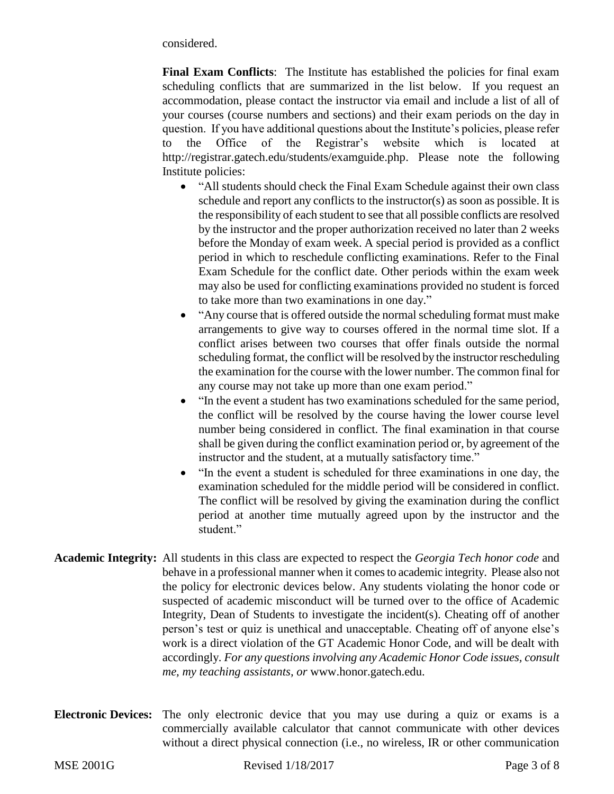considered.

**Final Exam Conflicts**: The Institute has established the policies for final exam scheduling conflicts that are summarized in the list below. If you request an accommodation, please contact the instructor via email and include a list of all of your courses (course numbers and sections) and their exam periods on the day in question. If you have additional questions about the Institute's policies, please refer to the Office of the Registrar's website which is located at http://registrar.gatech.edu/students/examguide.php. Please note the following Institute policies:

- "All students should check the Final Exam Schedule against their own class schedule and report any conflicts to the instructor(s) as soon as possible. It is the responsibility of each student to see that all possible conflicts are resolved by the instructor and the proper authorization received no later than 2 weeks before the Monday of exam week. A special period is provided as a conflict period in which to reschedule conflicting examinations. Refer to the Final Exam Schedule for the conflict date. Other periods within the exam week may also be used for conflicting examinations provided no student is forced to take more than two examinations in one day."
- "Any course that is offered outside the normal scheduling format must make arrangements to give way to courses offered in the normal time slot. If a conflict arises between two courses that offer finals outside the normal scheduling format, the conflict will be resolved by the instructor rescheduling the examination for the course with the lower number. The common final for any course may not take up more than one exam period."
- "In the event a student has two examinations scheduled for the same period, the conflict will be resolved by the course having the lower course level number being considered in conflict. The final examination in that course shall be given during the conflict examination period or, by agreement of the instructor and the student, at a mutually satisfactory time."
- "In the event a student is scheduled for three examinations in one day, the examination scheduled for the middle period will be considered in conflict. The conflict will be resolved by giving the examination during the conflict period at another time mutually agreed upon by the instructor and the student."
- **Academic Integrity:** All students in this class are expected to respect the *Georgia Tech honor code* and behave in a professional manner when it comes to academic integrity. Please also not the policy for electronic devices below. Any students violating the honor code or suspected of academic misconduct will be turned over to the office of Academic Integrity, Dean of Students to investigate the incident(s). Cheating off of another person's test or quiz is unethical and unacceptable. Cheating off of anyone else's work is a direct violation of the GT Academic Honor Code, and will be dealt with accordingly. *For any questions involving any Academic Honor Code issues, consult me, my teaching assistants, or* www.honor.gatech.edu.
- **Electronic Devices:** The only electronic device that you may use during a quiz or exams is a commercially available calculator that cannot communicate with other devices without a direct physical connection (i.e., no wireless, IR or other communication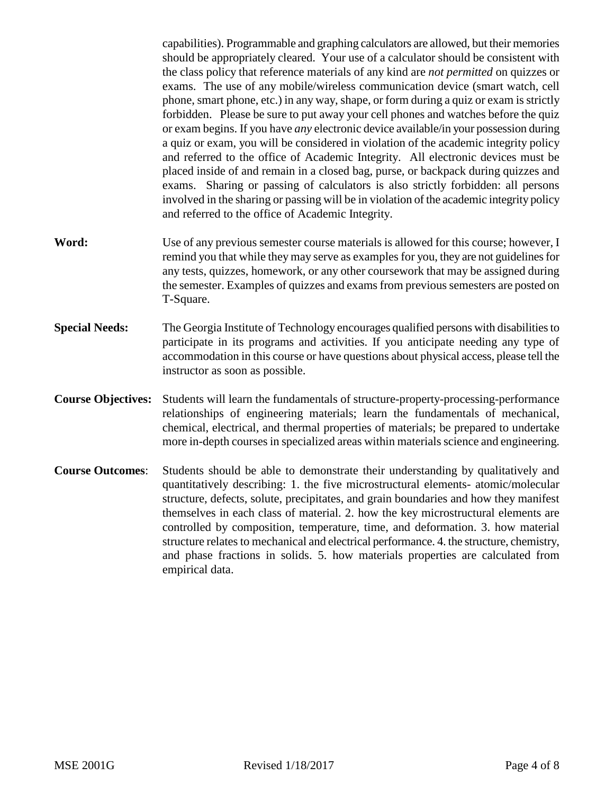capabilities). Programmable and graphing calculators are allowed, but their memories should be appropriately cleared. Your use of a calculator should be consistent with the class policy that reference materials of any kind are *not permitted* on quizzes or exams. The use of any mobile/wireless communication device (smart watch, cell phone, smart phone, etc.) in any way, shape, or form during a quiz or exam is strictly forbidden. Please be sure to put away your cell phones and watches before the quiz or exam begins. If you have *any* electronic device available/in your possession during a quiz or exam, you will be considered in violation of the academic integrity policy and referred to the office of Academic Integrity. All electronic devices must be placed inside of and remain in a closed bag, purse, or backpack during quizzes and exams. Sharing or passing of calculators is also strictly forbidden: all persons involved in the sharing or passing will be in violation of the academic integrity policy and referred to the office of Academic Integrity.

- **Word:** Use of any previous semester course materials is allowed for this course; however, I remind you that while they may serve as examples for you, they are not guidelines for any tests, quizzes, homework, or any other coursework that may be assigned during the semester. Examples of quizzes and exams from previous semesters are posted on T-Square.
- **Special Needs:** The Georgia Institute of Technology encourages qualified persons with disabilities to participate in its programs and activities. If you anticipate needing any type of accommodation in this course or have questions about physical access, please tell the instructor as soon as possible.
- **Course Objectives:** Students will learn the fundamentals of structure-property-processing-performance relationships of engineering materials; learn the fundamentals of mechanical, chemical, electrical, and thermal properties of materials; be prepared to undertake more in-depth courses in specialized areas within materials science and engineering.
- **Course Outcomes**: Students should be able to demonstrate their understanding by qualitatively and quantitatively describing: 1. the five microstructural elements- atomic/molecular structure, defects, solute, precipitates, and grain boundaries and how they manifest themselves in each class of material. 2. how the key microstructural elements are controlled by composition, temperature, time, and deformation. 3. how material structure relates to mechanical and electrical performance. 4. the structure, chemistry, and phase fractions in solids. 5. how materials properties are calculated from empirical data.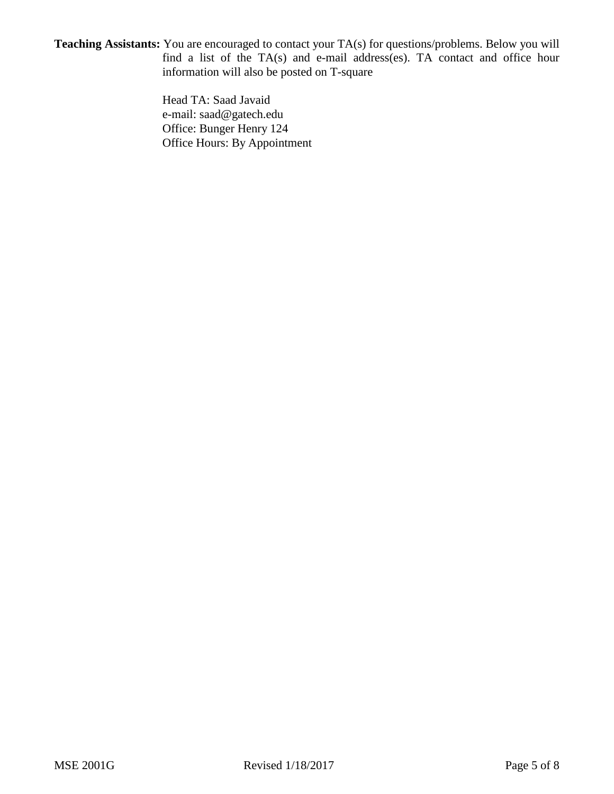**Teaching Assistants:** You are encouraged to contact your TA(s) for questions/problems. Below you will find a list of the TA(s) and e-mail address(es). TA contact and office hour information will also be posted on T-square

> Head TA: Saad Javaid e-mail: saad@gatech.edu Office: Bunger Henry 124 Office Hours: By Appointment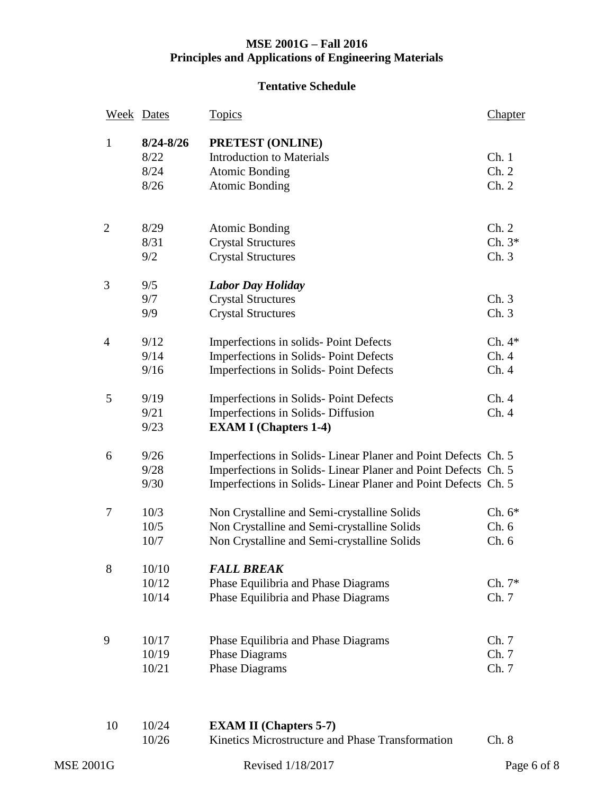## **MSE 2001G – Fall 2016 Principles and Applications of Engineering Materials**

## **Tentative Schedule**

|                  | <b>Week</b> Dates | <b>Topics</b>                                                 | Chapter     |
|------------------|-------------------|---------------------------------------------------------------|-------------|
| $\mathbf{1}$     | $8/24 - 8/26$     | PRETEST (ONLINE)                                              |             |
|                  | 8/22              | <b>Introduction to Materials</b>                              | Ch.1        |
|                  | 8/24              | <b>Atomic Bonding</b>                                         | Ch. 2       |
|                  | 8/26              | <b>Atomic Bonding</b>                                         | Ch. 2       |
|                  |                   |                                                               |             |
| $\mathbf{2}$     | 8/29              | <b>Atomic Bonding</b>                                         | Ch. 2       |
|                  | 8/31              | <b>Crystal Structures</b>                                     | $Ch.3*$     |
|                  | 9/2               | <b>Crystal Structures</b>                                     | Ch.3        |
| 3                | 9/5               | <b>Labor Day Holiday</b>                                      |             |
|                  | 9/7               | <b>Crystal Structures</b>                                     | Ch.3        |
|                  | 9/9               | <b>Crystal Structures</b>                                     | Ch.3        |
| $\overline{4}$   | 9/12              | Imperfections in solids-Point Defects                         | $Ch.4*$     |
|                  | 9/14              | Imperfections in Solids-Point Defects                         | Ch.4        |
|                  | 9/16              | Imperfections in Solids-Point Defects                         | Ch.4        |
| 5                | 9/19              | Imperfections in Solids-Point Defects                         | Ch.4        |
|                  | 9/21              | Imperfections in Solids-Diffusion                             | Ch.4        |
|                  | 9/23              | <b>EXAM I</b> (Chapters 1-4)                                  |             |
| 6                | 9/26              | Imperfections in Solids-Linear Planer and Point Defects Ch. 5 |             |
|                  | 9/28              | Imperfections in Solids-Linear Planer and Point Defects Ch. 5 |             |
|                  | 9/30              | Imperfections in Solids-Linear Planer and Point Defects Ch. 5 |             |
| $\tau$           | 10/3              | Non Crystalline and Semi-crystalline Solids                   | Ch. $6*$    |
|                  | 10/5              | Non Crystalline and Semi-crystalline Solids                   | Ch.6        |
|                  | 10/7              | Non Crystalline and Semi-crystalline Solids                   | Ch.6        |
| 8                | 10/10             | <b>FALL BREAK</b>                                             |             |
|                  | 10/12             | Phase Equilibria and Phase Diagrams                           | $Ch. 7*$    |
|                  | 10/14             | Phase Equilibria and Phase Diagrams                           | Ch. 7       |
| 9                | 10/17             | Phase Equilibria and Phase Diagrams                           | Ch. 7       |
|                  | 10/19             | <b>Phase Diagrams</b>                                         | Ch. 7       |
|                  | 10/21             | <b>Phase Diagrams</b>                                         | Ch. 7       |
|                  |                   |                                                               |             |
| 10               | 10/24             | <b>EXAM II</b> (Chapters 5-7)                                 |             |
|                  | 10/26             | Kinetics Microstructure and Phase Transformation              | Ch. 8       |
| <b>MSE 2001G</b> |                   | Revised 1/18/2017                                             | Page 6 of 8 |